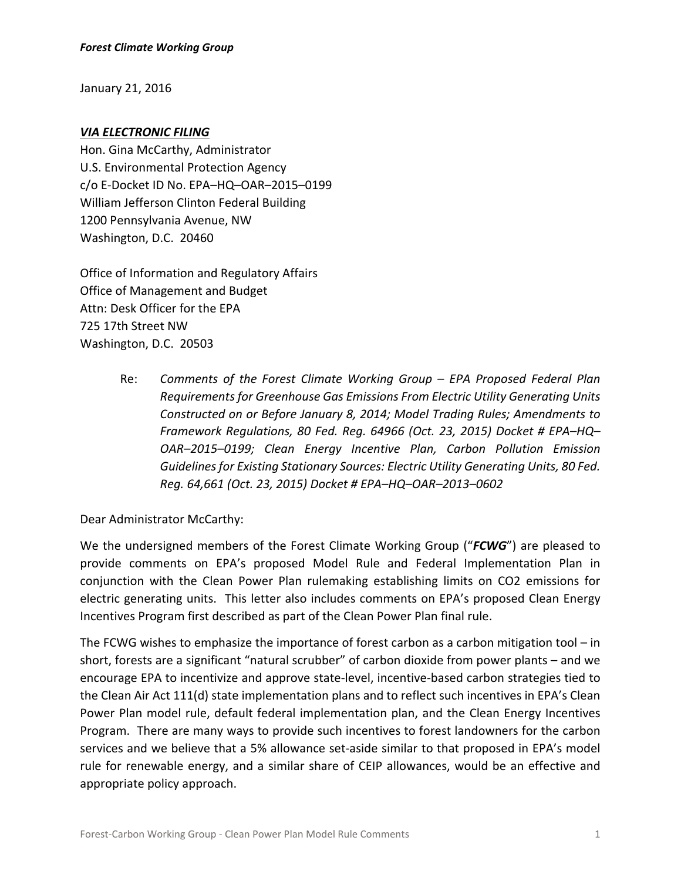January 21, 2016

### *VIA ELECTRONIC FILING*

Hon. Gina McCarthy, Administrator U.S. Environmental Protection Agency c/o E‐Docket ID No. EPA–HQ–OAR–2015–0199 William Jefferson Clinton Federal Building 1200 Pennsylvania Avenue, NW Washington, D.C. 20460

Office of Information and Regulatory Affairs Office of Management and Budget Attn: Desk Officer for the EPA 725 17th Street NW Washington, D.C. 20503

> Re: *Comments of the Forest Climate Working Group – EPA Proposed Federal Plan Requirements for Greenhouse Gas Emissions From Electric Utility Generating Units Constructed on or Before January 8, 2014; Model Trading Rules; Amendments to Framework Regulations, 80 Fed. Reg. 64966 (Oct. 23, 2015) Docket # EPA–HQ– OAR–2015–0199; Clean Energy Incentive Plan, Carbon Pollution Emission Guidelinesfor Existing Stationary Sources: Electric Utility Generating Units, 80 Fed. Reg. 64,661 (Oct. 23, 2015) Docket # EPA–HQ–OAR–2013–0602*

Dear Administrator McCarthy:

We the undersigned members of the Forest Climate Working Group ("*FCWG*") are pleased to provide comments on EPA's proposed Model Rule and Federal Implementation Plan in conjunction with the Clean Power Plan rulemaking establishing limits on CO2 emissions for electric generating units. This letter also includes comments on EPA's proposed Clean Energy Incentives Program first described as part of the Clean Power Plan final rule.

The FCWG wishes to emphasize the importance of forest carbon as a carbon mitigation tool  $-$  in short, forests are a significant "natural scrubber" of carbon dioxide from power plants – and we encourage EPA to incentivize and approve state‐level, incentive‐based carbon strategies tied to the Clean Air Act 111(d) state implementation plans and to reflect such incentives in EPA's Clean Power Plan model rule, default federal implementation plan, and the Clean Energy Incentives Program. There are many ways to provide such incentives to forest landowners for the carbon services and we believe that a 5% allowance set-aside similar to that proposed in EPA's model rule for renewable energy, and a similar share of CEIP allowances, would be an effective and appropriate policy approach.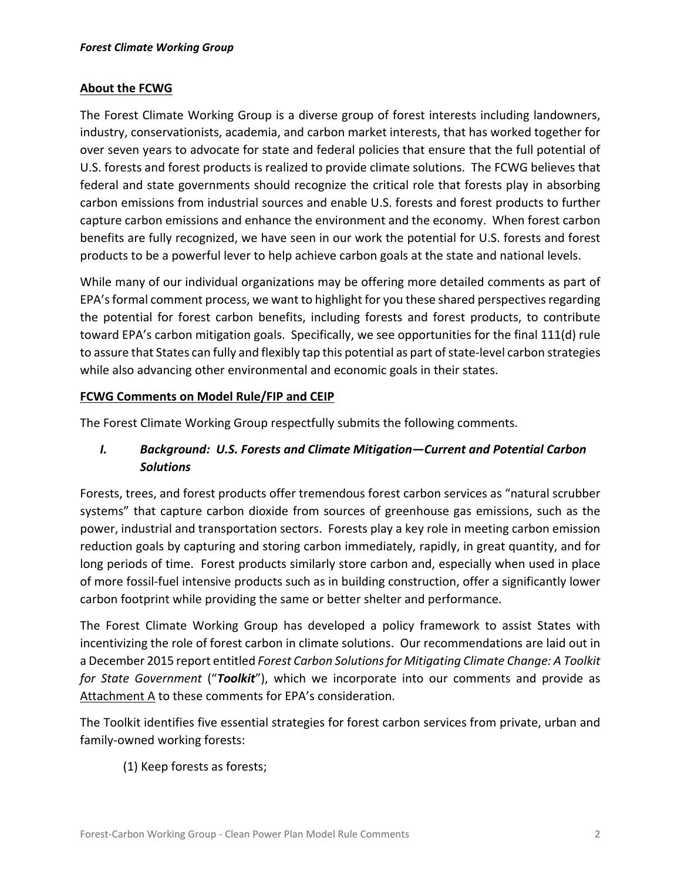### **About the FCWG**

The Forest Climate Working Group is a diverse group of forest interests including landowners, industry, conservationists, academia, and carbon market interests, that has worked together for over seven years to advocate for state and federal policies that ensure that the full potential of U.S. forests and forest products is realized to provide climate solutions. The FCWG believes that federal and state governments should recognize the critical role that forests play in absorbing carbon emissions from industrial sources and enable U.S. forests and forest products to further capture carbon emissions and enhance the environment and the economy. When forest carbon benefits are fully recognized, we have seen in our work the potential for U.S. forests and forest products to be a powerful lever to help achieve carbon goals at the state and national levels.

While many of our individual organizations may be offering more detailed comments as part of EPA's formal comment process, we want to highlight for you these shared perspectives regarding the potential for forest carbon benefits, including forests and forest products, to contribute toward EPA's carbon mitigation goals. Specifically, we see opportunities for the final 111(d) rule to assure that States can fully and flexibly tap this potential as part of state-level carbon strategies while also advancing other environmental and economic goals in their states.

#### **FCWG Comments on Model Rule/FIP and CEIP**

The Forest Climate Working Group respectfully submits the following comments.

# *I. Background: U.S. Forests and Climate Mitigation—Current and Potential Carbon Solutions*

Forests, trees, and forest products offer tremendous forest carbon services as "natural scrubber systems" that capture carbon dioxide from sources of greenhouse gas emissions, such as the power, industrial and transportation sectors. Forests play a key role in meeting carbon emission reduction goals by capturing and storing carbon immediately, rapidly, in great quantity, and for long periods of time. Forest products similarly store carbon and, especially when used in place of more fossil‐fuel intensive products such as in building construction, offer a significantly lower carbon footprint while providing the same or better shelter and performance.

The Forest Climate Working Group has developed a policy framework to assist States with incentivizing the role of forest carbon in climate solutions. Our recommendations are laid out in a December 2015 report entitled *Forest Carbon Solutionsfor Mitigating Climate Change: A Toolkit for State Government* ("*Toolkit*"), which we incorporate into our comments and provide as Attachment A to these comments for EPA's consideration.

The Toolkit identifies five essential strategies for forest carbon services from private, urban and family‐owned working forests:

(1) Keep forests as forests;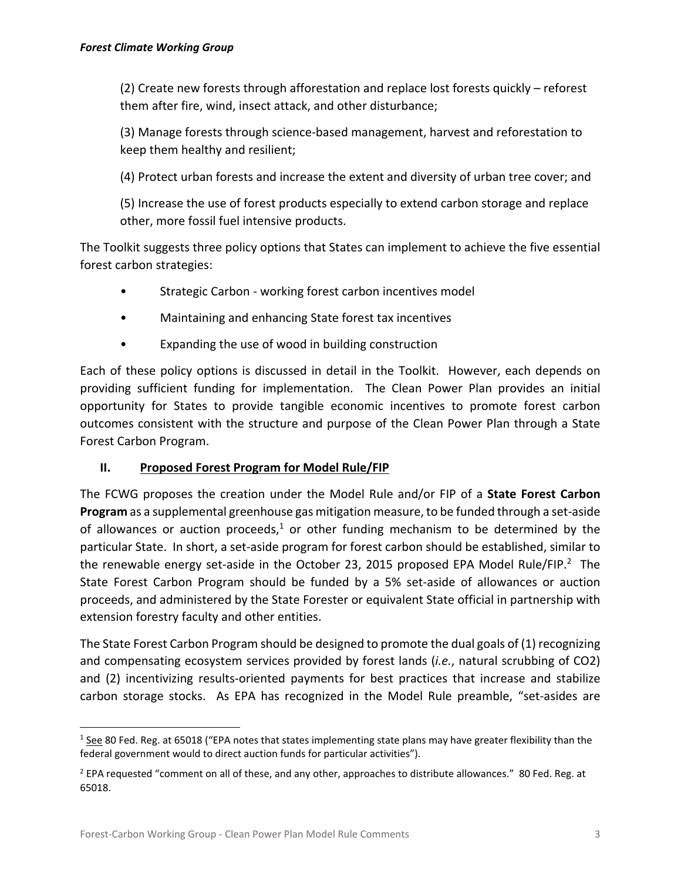(2) Create new forests through afforestation and replace lost forests quickly – reforest them after fire, wind, insect attack, and other disturbance;

(3) Manage forests through science‐based management, harvest and reforestation to keep them healthy and resilient;

(4) Protect urban forests and increase the extent and diversity of urban tree cover; and

(5) Increase the use of forest products especially to extend carbon storage and replace other, more fossil fuel intensive products.

The Toolkit suggests three policy options that States can implement to achieve the five essential forest carbon strategies:

- Strategic Carbon working forest carbon incentives model
- Maintaining and enhancing State forest tax incentives
- Expanding the use of wood in building construction

Each of these policy options is discussed in detail in the Toolkit. However, each depends on providing sufficient funding for implementation. The Clean Power Plan provides an initial opportunity for States to provide tangible economic incentives to promote forest carbon outcomes consistent with the structure and purpose of the Clean Power Plan through a State Forest Carbon Program.

## **II. Proposed Forest Program for Model Rule/FIP**

The FCWG proposes the creation under the Model Rule and/or FIP of a **State Forest Carbon Program** as a supplemental greenhouse gas mitigation measure, to be funded through a set-aside of allowances or auction proceeds,<sup>1</sup> or other funding mechanism to be determined by the particular State. In short, a set‐aside program for forest carbon should be established, similar to the renewable energy set-aside in the October 23, 2015 proposed EPA Model Rule/FIP.<sup>2</sup> The State Forest Carbon Program should be funded by a 5% set‐aside of allowances or auction proceeds, and administered by the State Forester or equivalent State official in partnership with extension forestry faculty and other entities.

The State Forest Carbon Program should be designed to promote the dual goals of (1) recognizing and compensating ecosystem services provided by forest lands (*i.e.*, natural scrubbing of CO2) and (2) incentivizing results-oriented payments for best practices that increase and stabilize carbon storage stocks. As EPA has recognized in the Model Rule preamble, "set-asides are

 $1$  See 80 Fed. Reg. at 65018 ("EPA notes that states implementing state plans may have greater flexibility than the federal government would to direct auction funds for particular activities").

<sup>&</sup>lt;sup>2</sup> EPA requested "comment on all of these, and any other, approaches to distribute allowances." 80 Fed. Reg. at 65018.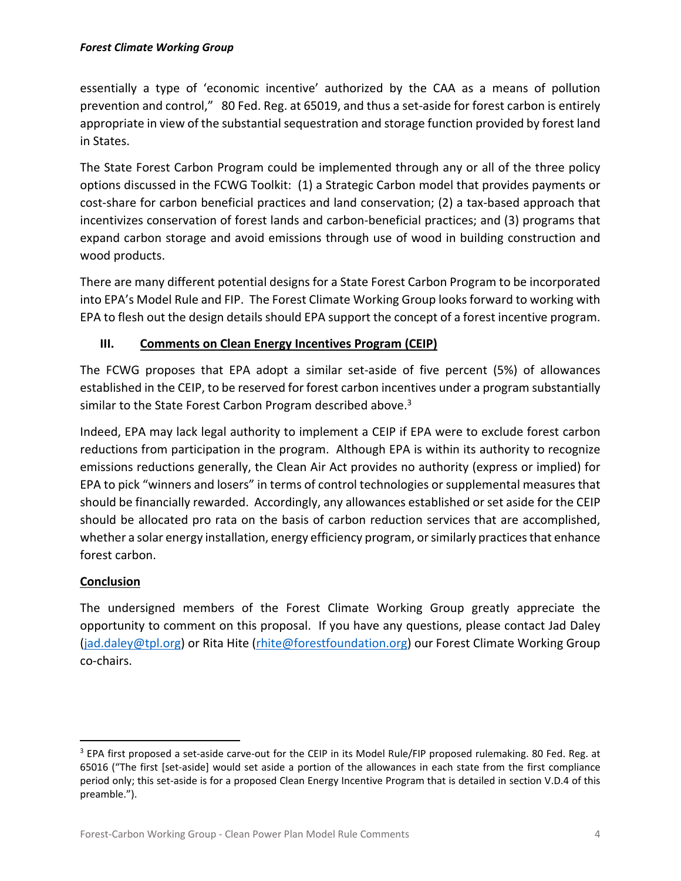essentially a type of 'economic incentive' authorized by the CAA as a means of pollution prevention and control," 80 Fed. Reg. at 65019, and thus a set-aside for forest carbon is entirely appropriate in view of the substantial sequestration and storage function provided by forest land in States.

The State Forest Carbon Program could be implemented through any or all of the three policy options discussed in the FCWG Toolkit: (1) a Strategic Carbon model that provides payments or cost‐share for carbon beneficial practices and land conservation; (2) a tax‐based approach that incentivizes conservation of forest lands and carbon‐beneficial practices; and (3) programs that expand carbon storage and avoid emissions through use of wood in building construction and wood products.

There are many different potential designs for a State Forest Carbon Program to be incorporated into EPA's Model Rule and FIP. The Forest Climate Working Group looks forward to working with EPA to flesh out the design details should EPA support the concept of a forest incentive program.

## **III. Comments on Clean Energy Incentives Program (CEIP)**

The FCWG proposes that EPA adopt a similar set‐aside of five percent (5%) of allowances established in the CEIP, to be reserved for forest carbon incentives under a program substantially similar to the State Forest Carbon Program described above.<sup>3</sup>

Indeed, EPA may lack legal authority to implement a CEIP if EPA were to exclude forest carbon reductions from participation in the program. Although EPA is within its authority to recognize emissions reductions generally, the Clean Air Act provides no authority (express or implied) for EPA to pick "winners and losers" in terms of control technologies or supplemental measures that should be financially rewarded. Accordingly, any allowances established or set aside for the CEIP should be allocated pro rata on the basis of carbon reduction services that are accomplished, whether a solar energy installation, energy efficiency program, or similarly practices that enhance forest carbon.

## **Conclusion**

The undersigned members of the Forest Climate Working Group greatly appreciate the opportunity to comment on this proposal. If you have any questions, please contact Jad Daley (jad.daley@tpl.org) or Rita Hite (rhite@forestfoundation.org) our Forest Climate Working Group co‐chairs.

<sup>&</sup>lt;sup>3</sup> EPA first proposed a set-aside carve-out for the CEIP in its Model Rule/FIP proposed rulemaking. 80 Fed. Reg. at 65016 ("The first [set‐aside] would set aside a portion of the allowances in each state from the first compliance period only; this set‐aside is for a proposed Clean Energy Incentive Program that is detailed in section V.D.4 of this preamble.").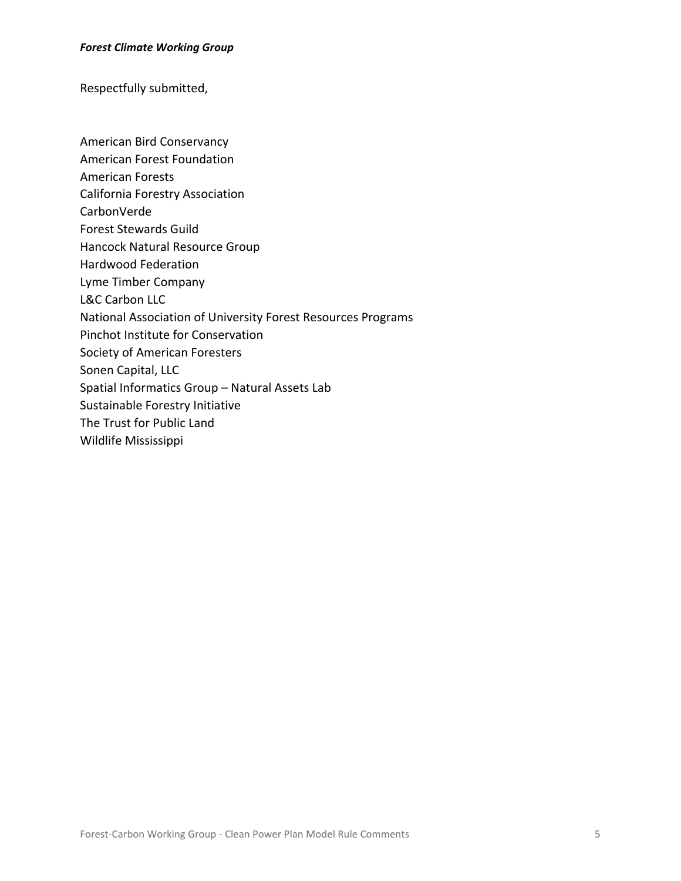#### *Forest Climate Working Group*

Respectfully submitted,

- American Bird Conservancy
- American Forest Foundation
- American Forests
- California Forestry Association
- CarbonVerde
- Forest Stewards Guild
- Hancock Natural Resource Group
- Hardwood Federation
- Lyme Timber Company
- L&C Carbon LLC
- National Association of University Forest Resources Programs
- Pinchot Institute for Conservation
- Society of American Foresters
- Sonen Capital, LLC
- Spatial Informatics Group Natural Assets Lab
- Sustainable Forestry Initiative
- The Trust for Public Land
- Wildlife Mississippi